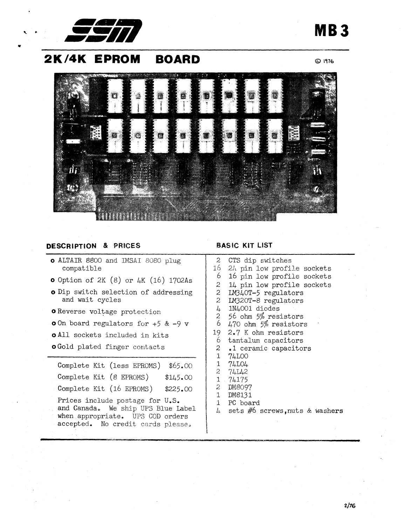

# **2K/4K EPROM BOARD**

© 1976

**MB3** 



## **DESCRIPTION** & PRICES

- o ALTAIR 8800 and IMSAI 8080 pIug compatible
- $\bullet$  Option of 2K (8) or 4K (16) 1702As
- o Dip switch selection of addressing and wait cycles
- o Reverse voltage protection
- o On board regulators for +5 & -9 v
- o All sockets included in kits
- o Gold plated finger contacts

|                          | Complete Kit (less EPROMS)                                                                                                                     | \$65.00  |
|--------------------------|------------------------------------------------------------------------------------------------------------------------------------------------|----------|
| Complete Kit (8 EPROMS)  |                                                                                                                                                | \$145.00 |
| Complete Kit (16 EPROMS) |                                                                                                                                                | \$225.00 |
|                          | Prices include postage for U.S.<br>and Canada. We ship UPS Blue Label<br>when appropriate. UPS COD orders<br>accepted. No credit cards please. |          |

# BASIC KIT LIST

| $\mathfrak{D}$ | CTS dip switches           |
|----------------|----------------------------|
| 16 -           | 24 pin low profile sockets |
| 6              | 16 pin low profile sockets |
| 2              | 14 pin low profile sockets |
| $\mathbf{c}$   | LM340T-5 regulators        |
| $\overline{c}$ | IM320T-8 regulators        |
| $\frac{1}{4}$  | 1N4001 diodes              |
| $rac{2}{6}$    | 56 ohm 5% resistors        |
|                | 470 ohm 5% resistors       |
| 19             | 2.7 K ohm resistors        |
| 6.             | tantalum capacitors        |
| $\mathbf{2}$   | .1 ceramic capacitors      |
| $\mathbf 1$    | 74LOO                      |
| $\mathbf{1}$   | 74L04                      |
|                | 274L42                     |
|                | 1.74175                    |
| $2 -$          | DM8097                     |
| 1              | DM8131                     |
| $\mathbf{1}$   | PC board                   |

 $\mu$  sets  $\#6$  screws, nuts & washers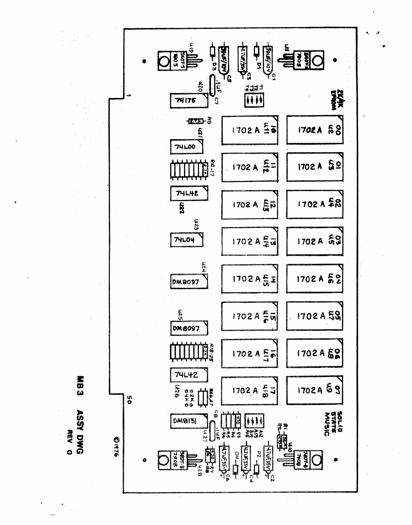

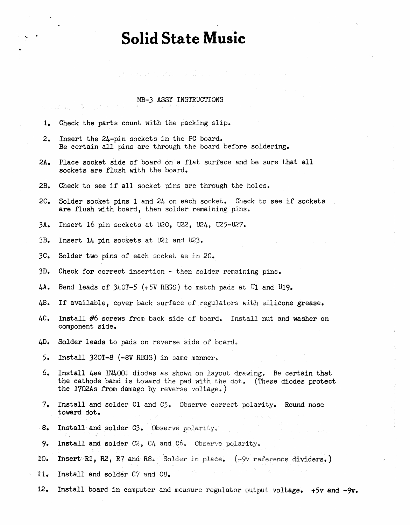# **Solid State Music**

### MB-3 ASSY INSTRUCTIONS

÷.

a sa at air é

| 1.                     | Check the parts count with the packing slip.                                                                                                                                                   |  |  |  |  |  |
|------------------------|------------------------------------------------------------------------------------------------------------------------------------------------------------------------------------------------|--|--|--|--|--|
| $\mathbf{2}_{\bullet}$ | Insert the 24-pin sockets in the PC board.<br>Be certain all pins are through the board before soldering.                                                                                      |  |  |  |  |  |
| 2A <sub>o</sub>        | Place socket side of board on a flat surface and be sure that all<br>sockets are flush with the board.                                                                                         |  |  |  |  |  |
| 2B <sub>o</sub>        | Check to see if all socket pins are through the holes.                                                                                                                                         |  |  |  |  |  |
| $2C_{\bullet}$         | Solder socket pins 1 and $24$ on each socket. Check to see if sockets<br>are flush with board, then solder remaining pins.                                                                     |  |  |  |  |  |
| 3A <sub>o</sub>        | Insert 16 pin sockets at U2O, U22, U24, U25-U27.                                                                                                                                               |  |  |  |  |  |
| 3B <sub>o</sub>        | Insert 14 pin sockets at U21 and U23.                                                                                                                                                          |  |  |  |  |  |
| 3C <sub>o</sub>        | Solder two pins of each socket as in 2C.                                                                                                                                                       |  |  |  |  |  |
| 3D <sub>o</sub>        | Check for correct insertion - then solder remaining pins.                                                                                                                                      |  |  |  |  |  |
| 4A.                    | Bend leads of 340T-5 (+5V REGS) to match pads at U1 and U19.                                                                                                                                   |  |  |  |  |  |
| 4B.                    | If available, cover back surface of regulators with silicone grease.                                                                                                                           |  |  |  |  |  |
| $4C_{\bullet}$         | Install #6 screws from back side of board. Install nut and washer on<br>component side.                                                                                                        |  |  |  |  |  |
| 4D <sub>•</sub>        | Solder leads to pads on reverse side of board.                                                                                                                                                 |  |  |  |  |  |
| 5.                     | Install 320T-8 (-8V REGS) in same manner.                                                                                                                                                      |  |  |  |  |  |
| 6.                     | Install 4ea IN4001 diodes as shown on layout drawing. Be certain that<br>the cathode band is toward the pad with the dot. (These diodes protect<br>the 1702As from damage by reverse voltage.) |  |  |  |  |  |
| 7.                     | Install and solder C1 and C5. Observe correct polarity. Round nose<br>toward dot.                                                                                                              |  |  |  |  |  |
| $-8.$                  | Install and solder C3. Observe polarity.                                                                                                                                                       |  |  |  |  |  |
| 9.                     | Install and solder C2, C4 and C6. Observe polarity.                                                                                                                                            |  |  |  |  |  |
| 10.                    | Insert R1, R2, R7 and R8. Solder in place. (-9v reference dividers.)                                                                                                                           |  |  |  |  |  |
| 11.                    | Install and solder C7 and C8.                                                                                                                                                                  |  |  |  |  |  |
| 12.                    | Install board in computer and measure regulator output voltage. +5v and -9v.                                                                                                                   |  |  |  |  |  |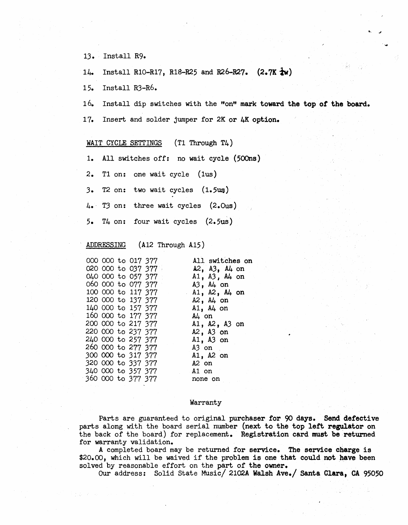13. Install R9.

14. Install R10-R17, R18-R25 and R26-R27.  $(2.7K \frac{1}{4}w)$ 

15. Install R3-R6.

16. Install dip switches with the "on" mark toward the top *ot* the board.

....

17. Insert and solder jumper for 2K or 4K option.

#### WAIT CYCLE SETTINGS (T1 Through T4)

1. All switches off: no wait cycle (500ns)

2. T1 on: one wait cycle (lus)

 $3.$  T2 on: two wait cycles  $(1.5~u)$ 

4. T3 on: three wait cycles (2.Ous)

5. T4 on: four wait cycles (2.5us)

#### ADDRESSING (A12 Through A15)

| 000 000 to 017 377 |  |                    | All switches on       |
|--------------------|--|--------------------|-----------------------|
|                    |  | 020 000 to 037 377 | $A2$ , $A3$ , $A4$ on |
|                    |  | 040 000 to 057 377 | $A1$ , $A3$ , $A4$ on |
| 060 000 to 077 377 |  |                    | $A3$ , $A4$ on        |
| 100 000 to 117 377 |  |                    | $A1$ , $A2$ , $A4$ on |
| 120 000 to 137 377 |  |                    | $A2$ , $A4$ on        |
| 140 000 to 157 377 |  |                    | $A1$ , $A4$ on        |
| 160 000 to 177 377 |  |                    | $A\mu$ on             |
| 200 000 to 217 377 |  |                    | $A1$ , $A2$ , $A3$ on |
| 220 000 to 237 377 |  |                    | $A2$ , $A3$ on        |
| 240 000 to 257 377 |  |                    | $A1, A3$ on           |
| 260 000 to 277 377 |  |                    | A3 on                 |
| 300 000 to 317 377 |  |                    | A1, A2 on             |
| 320 000 to 337 377 |  |                    | $A2$ on               |
| 340 000 to 357 377 |  |                    | A1 on                 |
| 360 000 to 377 377 |  |                    | none on               |
|                    |  |                    |                       |

#### Warranty

Parts are guaranteed to original purchaser for 90 days. Send defective parts along with the board serial number (next to the top lett regulator on the back of the board) for replacement. Registration card must be returned for warranty validation.

A completed board may be returned for service. The service charge is \$20.00, which will be waived if the problem is one that could not have been solved by reasonable effort on the part of the owner.

Our address: Solid State Music/ 2102A Walsh Ave./ Santa Clara, CA 95050